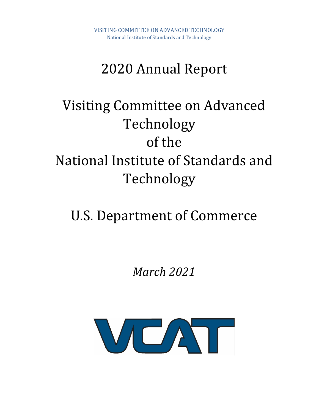# 2020 Annual Report

# Visiting Committee on Advanced Technology of the National Institute of Standards and Technology

# U.S. Department of Commerce

*March 2021*

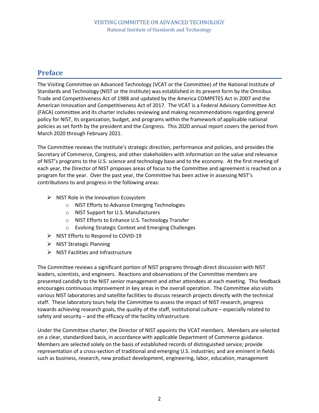## **Preface**

The Visiting Committee on Advanced Technology (VCAT or the Committee) of the National Institute of Standards and Technology (NIST or the Institute) was established in its present form by the Omnibus Trade and Competitiveness Act of 1988 and updated by the America COMPETES Act in 2007 and the American Innovation and Competitiveness Act of 2017. The VCAT is a Federal Advisory Committee Act (FACA) committee and its charter includes reviewing and making recommendations regarding general policy for NIST, its organization, budget, and programs within the framework of applicable national policies as set forth by the president and the Congress. This 2020 annual report covers the period from March 2020 through February 2021.

The Committee reviews the Institute's strategic direction, performance and policies, and provides the Secretary of Commerce, Congress, and other stakeholders with information on the value and relevance of NIST's programs to the U.S. science and technology base and to the economy. At the first meeting of each year, the Director of NIST proposes areas of focus to the Committee and agreement is reached on a program for the year. Over the past year, the Committee has been active in assessing NIST's contributions to and progress in the following areas:

- $\triangleright$  NIST Role in the Innovation Ecosystem
	- o NIST Efforts to Advance Emerging Technologies
	- o NIST Support for U.S. Manufacturers
	- o NIST Efforts to Enhance U.S. Technology Transfer
	- o Evolving Strategic Context and Emerging Challenges
- ⮚ NIST Efforts to Respond to COVID-19
- $\triangleright$  NIST Strategic Planning
- $\triangleright$  NIST Facilities and Infrastructure

The Committee reviews a significant portion of NIST programs through direct discussion with NIST leaders, scientists, and engineers. Reactions and observations of the Committee members are presented candidly to the NIST senior management and other attendees at each meeting. This feedback encourages continuous improvement in key areas in the overall operation. The Committee also visits various NIST laboratories and satellite facilities to discuss research projects directly with the technical staff. These laboratory tours help the Committee to assess the impact of NIST research, progress towards achieving research goals, the quality of the staff, institutional culture – especially related to safety and security – and the efficacy of the facility infrastructure.

Under the Committee charter, the Director of NIST appoints the VCAT members. Members are selected on a clear, standardized basis, in accordance with applicable Department of Commerce guidance. Members are selected solely on the basis of established records of distinguished service; provide representation of a cross-section of traditional and emerging U.S. industries; and are eminent in fields such as business, research, new product development, engineering, labor, education, management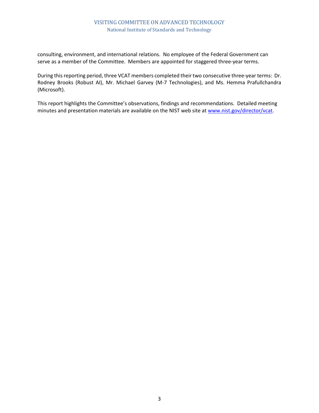#### VISITING COMMITTEE ON ADVANCED TECHNOLOGY National Institute of Standards and Technology

consulting, environment, and international relations. No employee of the Federal Government can serve as a member of the Committee. Members are appointed for staggered three-year terms.

During this reporting period, three VCAT members completed their two consecutive three-year terms: Dr. Rodney Brooks (Robust AI), Mr. Michael Garvey (M-7 Technologies), and Ms. Hemma Prafullchandra (Microsoft).

This report highlights the Committee's observations, findings and recommendations. Detailed meeting minutes and presentation materials are available on the NIST web site at [www.nist.gov/director/vcat.](http://www.nist.gov/director/vcat)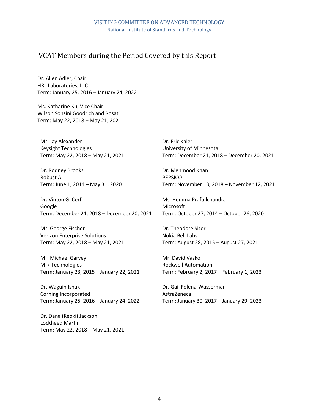## VCAT Members during the Period Covered by this Report

Dr. Allen Adler, Chair HRL Laboratories, LLC Term: January 25, 2016 – January 24, 2022

Ms. Katharine Ku, Vice Chair Wilson Sonsini Goodrich and Rosati Term: May 22, 2018 – May 21, 2021

Mr. Jay Alexander Keysight Technologies Term: May 22, 2018 – May 21, 2021

Dr. Rodney Brooks Robust AI Term: June 1, 2014 – May 31, 2020

Dr. Vinton G. Cerf Google Term: December 21, 2018 – December 20, 2021

Mr. George Fischer Verizon Enterprise Solutions Term: May 22, 2018 – May 21, 2021

Mr. Michael Garvey M-7 Technologies Term: January 23, 2015 – January 22, 2021

Dr. Waguih Ishak Corning Incorporated Term: January 25, 2016 – January 24, 2022

Dr. Dana (Keoki) Jackson Lockheed Martin Term: May 22, 2018 – May 21, 2021 Dr. Eric Kaler University of Minnesota Term: December 21, 2018 – December 20, 2021

Dr. Mehmood Khan PEPSICO Term: November 13, 2018 – November 12, 2021

Ms. Hemma Prafullchandra Microsoft Term: October 27, 2014 – October 26, 2020

Dr. Theodore Sizer Nokia Bell Labs Term: August 28, 2015 – August 27, 2021

Mr. David Vasko Rockwell Automation Term: February 2, 2017 – February 1, 2023

Dr. Gail Folena-Wasserman AstraZeneca Term: January 30, 2017 – January 29, 2023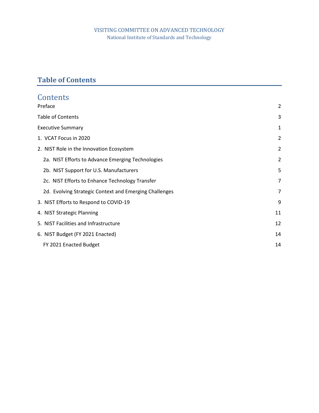## VISITING COMMITTEE ON ADVANCED TECHNOLOGY National Institute of Standards and Technology

## <span id="page-4-0"></span>**Table of Contents**

| Contents                                               |                |
|--------------------------------------------------------|----------------|
| Preface                                                | $\overline{2}$ |
| <b>Table of Contents</b>                               | 3              |
| <b>Executive Summary</b>                               | 1              |
| 1. VCAT Focus in 2020                                  | $\overline{2}$ |
| 2. NIST Role in the Innovation Ecosystem               | 2              |
| 2a. NIST Efforts to Advance Emerging Technologies      | $\overline{2}$ |
| 2b. NIST Support for U.S. Manufacturers                | 5              |
| 2c. NIST Efforts to Enhance Technology Transfer        | 7              |
| 2d. Evolving Strategic Context and Emerging Challenges | $\overline{7}$ |
| 3. NIST Efforts to Respond to COVID-19                 | 9              |
| 4. NIST Strategic Planning                             | 11             |
| 5. NIST Facilities and Infrastructure                  | 12             |
| 6. NIST Budget (FY 2021 Enacted)                       | 14             |
| FY 2021 Enacted Budget                                 | 14             |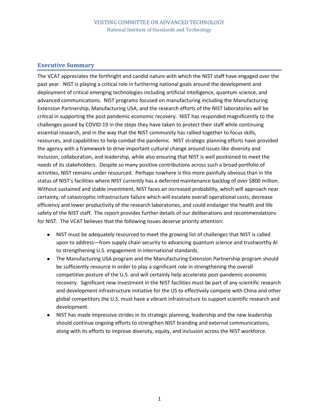#### **Executive Summary**

The VCAT appreciates the forthright and candid nature with which the NIST staff have engaged over the past year. NIST is playing a critical role in furthering national goals around the development and deployment of critical emerging technologies including artificial intelligence, quantum science, and advanced communications. NIST programs focused on manufacturing including the Manufacturing Extension Partnership, Manufacturing USA, and the research efforts of the NIST laboratories will be critical in supporting the post pandemic economic recovery. NIST has responded magnificently to the challenges posed by COVID-19 in the steps they have taken to protect their staff while continuing essential research, and in the way that the NIST community has rallied together to focus skills, resources, and capabilities to help combat the pandemic. NIST strategic planning efforts have provided the agency with a framework to drive important cultural change around issues like diversity and inclusion, collaboration, and leadership, while also ensuring that NIST is well positioned to meet the needs of its stakeholders. Despite so many positive contributions across such a broad portfolio of activities, NIST remains under resourced. Perhaps nowhere is this more painfully obvious than in the status of NIST's facilities where NIST currently has a deferred maintenance backlog of over \$800 million. Without sustained and stable investment, NIST faces an increased probability, which will approach near certainty, of catastrophic infrastructure failure which will escalate overall operational costs, decrease efficiency and lower productivity of the research laboratories, and could endanger the health and life safety of the NIST staff. The report provides further details of our deliberations and recommendations for NIST. The VCAT believes that the following issues deserve priority attention:

- NIST must be adequately resourced to meet the growing list of challenges that NIST is called upon to address—from supply chain security to advancing quantum science and trustworthy AI to strengthening U.S. engagement in international standards.
- The Manufacturing USA program and the Manufacturing Extension Partnership program should be sufficiently resource in order to play a significant role in strengthening the overall competitive posture of the U.S. and will certainly help accelerate post-pandemic economic recovery. Significant new investment in the NIST facilities must be part of any scientific research and development infrastructure initiative for the US to effectively compete with China and other global competitors the U.S. must have a vibrant infrastructure to support scientific research and development.
- NIST has made impressive strides in its strategic planning, leadership and the new leadership should continue ongoing efforts to strengthen NIST branding and external communications, along with its efforts to improve diversity, equity, and inclusion across the NIST workforce.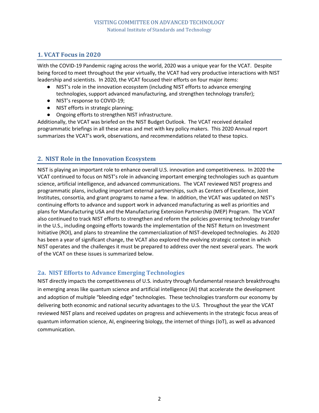## **1. VCAT Focus in 2020**

With the COVID-19 Pandemic raging across the world, 2020 was a unique year for the VCAT. Despite being forced to meet throughout the year virtually, the VCAT had very productive interactions with NIST leadership and scientists. In 2020, the VCAT focused their efforts on four major items:

- NIST's role in the innovation ecosystem (including NIST efforts to advance emerging technologies, support advanced manufacturing, and strengthen technology transfer);
- NIST's response to COVID-19;
- NIST efforts in strategic planning;
- Ongoing efforts to strengthen NIST infrastructure.

Additionally, the VCAT was briefed on the NIST Budget Outlook. The VCAT received detailed programmatic briefings in all these areas and met with key policy makers. This 2020 Annual report summarizes the VCAT's work, observations, and recommendations related to these topics.

## **2. NIST Role in the Innovation Ecosystem**

NIST is playing an important role to enhance overall U.S. innovation and competitiveness. In 2020 the VCAT continued to focus on NIST's role in advancing important emerging technologies such as quantum science, artificial intelligence, and advanced communications. The VCAT reviewed NIST progress and programmatic plans, including important external partnerships, such as Centers of Excellence, Joint Institutes, consortia, and grant programs to name a few. In addition, the VCAT was updated on NIST's continuing efforts to advance and support work in advanced manufacturing as well as priorities and plans for Manufacturing USA and the Manufacturing Extension Partnership (MEP) Program. The VCAT also continued to track NIST efforts to strengthen and reform the policies governing technology transfer in the U.S., including ongoing efforts towards the implementation of the NIST Return on Investment Initiative (ROI), and plans to streamline the commercialization of NIST-developed technologies. As 2020 has been a year of significant change, the VCAT also explored the evolving strategic context in which NIST operates and the challenges it must be prepared to address over the next several years. The work of the VCAT on these issues is summarized below.

## **2a. NIST Efforts to Advance Emerging Technologies**

NIST directly impacts the competitiveness of U.S. industry through fundamental research breakthroughs in emerging areas like quantum science and artificial intelligence (AI) that accelerate the development and adoption of multiple "bleeding edge" technologies. These technologies transform our economy by delivering both economic and national security advantages to the U.S. Throughout the year the VCAT reviewed NIST plans and received updates on progress and achievements in the strategic focus areas of quantum information science, AI, engineering biology, the internet of things (IoT), as well as advanced communication.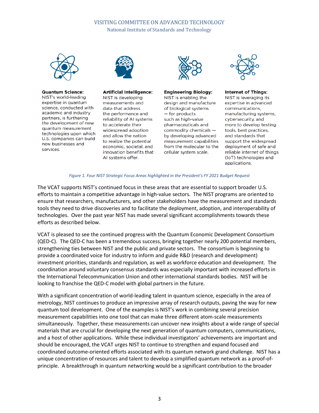## VISITING COMMITTEE ON ADVANCED TECHNOLOGY

National Institute of Standards and Technology



#### **Quantum Science:**

NIST's world-leading expertise in quantum science, conducted with academic and industry partners, is furthering the development of new quantum measurement technologies upon which U.S. companies can build new businesses and services.



#### **Artificial Intelligence:**

NIST is developing measurements and data that address the performance and reliability of AI systems to accelerate their widespread adoption and allow the nation to realize the potential economic, societal, and innovation benefits that Al systems offer.



#### **Engineering Biology:**

NIST is enabling the design and manufacture of biological systems - for products such as high-value pharmaceuticals and commodity chemicals by developing advanced measurement capabilities from the molecular to the cellular system scale.



#### **Internet of Things:**

NIST is leveraging its expertise in advanced communications, manufacturing systems, cybersecurity, and more to develop testing tools, best practices, and standards that support the widespread deployment of safe and reliable internet of things (IoT) technologies and applications.

#### *Figure 1. Four NIST Strategic Focus Areas highlighted in the President's FY 2021 Budget Request*

The VCAT supports NIST's continued focus in these areas that are essential to support broader U.S. efforts to maintain a competitive advantage in high-value sectors. The NIST programs are oriented to ensure that researchers, manufacturers, and other stakeholders have the measurement and standards tools they need to drive discoveries and to facilitate the deployment, adoption, and interoperability of technologies. Over the past year NIST has made several significant accomplishments towards these efforts as described below.

VCAT is pleased to see the continued progress with the Quantum Economic Development Consortium (QED-C). The QED-C has been a tremendous success, bringing together nearly 200 potential members, strengthening ties between NIST and the public and private sectors. The consortium is beginning to provide a coordinated voice for industry to inform and guide R&D (research and development) investment priorities, standards and regulation, as well as workforce education and development. The coordination around voluntary consensus standards was especially important with increased efforts in the International Telecommunication Union and other international standards bodies. NIST will be looking to franchise the QED-C model with global partners in the future.

With a significant concentration of world-leading talent in quantum science, especially in the area of metrology, NIST continues to produce an impressive array of research outputs, paving the way for new quantum tool development. One of the examples is NIST's work in combining several precision measurement capabilities into one tool that can make three different atom-scale measurements simultaneously. Together, these measurements can uncover new insights about a wide range of special materials that are crucial for developing the next generation of quantum computers, communications, and a host of other applications. While these individual investigators' achievements are important and should be encouraged, the VCAT urges NIST to continue to strengthen and expand focused and coordinated outcome-oriented efforts associated with its quantum network grand challenge. NIST has a unique concentration of resources and talent to develop a simplified quantum network as a proof-ofprinciple. A breakthrough in quantum networking would be a significant contribution to the broader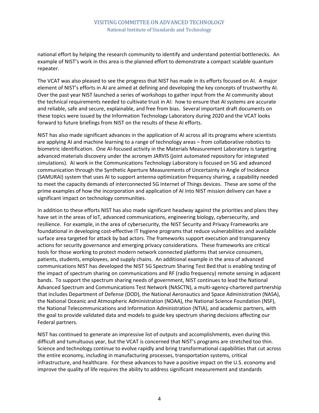national effort by helping the research community to identify and understand potential bottlenecks. An example of NIST's work in this area is the planned effort to demonstrate a compact scalable quantum repeater.

The VCAT was also pleased to see the progress that NIST has made in its efforts focused on AI. A major element of NIST's efforts in AI are aimed at defining and developing the key concepts of trustworthy AI. Over the past year NIST launched a series of workshops to gather input from the AI community about the technical requirements needed to cultivate trust in AI: how to ensure that AI systems are accurate and reliable, safe and secure, explainable, and free from bias. Several important draft documents on these topics were issued by the Information Technology Laboratory during 2020 and the VCAT looks forward to future briefings from NIST on the results of these AI efforts.

NIST has also made significant advances in the application of AI across all its programs where scientists are applying AI and machine learning to a range of technology areas – from collaborative robotics to biometric identification. One AI-focused activity in the Materials Measurement Laboratory is targeting advanced materials discovery under the acronym JARVIS (joint automated repository for integrated simulations). AI work in the Communications Technology Laboratory is focused on 5G and advanced communication through the Synthetic Aperture Measurements of Uncertainty in Angle of Incidence (SAMURAI) system that uses AI to support antenna optimization frequency sharing, a capability needed to meet the capacity demands of interconnected 5G Internet of Things devices. These are some of the prime examples of how the incorporation and application of AI into NIST mission delivery can have a significant impact on technology communities.

In addition to these efforts NIST has also made significant headway against the priorities and plans they have set in the areas of IoT, advanced communications, engineering biology, cybersecurity, and resilience. For example, in the area of cybersecurity, the NIST Security and Privacy Frameworks are foundational in developing cost-effective IT hygiene programs that reduce vulnerabilities and available surface area targeted for attack by bad actors. The frameworks support execution and transparency actions for security governance and emerging privacy considerations. These frameworks are critical tools for those working to protect modern network connected platforms that service consumers, patients, students, employees, and supply chains. An additional example in the area of advanced communications NIST has developed the NIST 5G Spectrum Sharing Test Bed that is enabling testing of the impact of spectrum sharing on communications and RF (radio frequency) remote sensing in adjacent bands. To support the spectrum sharing needs of government, NIST continues to lead the National Advanced Spectrum and Communications Test Network (NASCTN), a multi-agency-chartered partnership that includes Department of Defense (DOD), the National Aeronautics and Space Administration (NASA), the National Oceanic and Atmospheric Administration (NOAA), the National Science Foundation (NSF), the National Telecommunications and Information Administration (NTIA), and academic partners, with the goal to provide validated data and models to guide key spectrum sharing decisions affecting our Federal partners.

NIST has continued to generate an impressive list of outputs and accomplishments, even during this difficult and tumultuous year, but the VCAT is concerned that NIST's programs are stretched too thin. Science and technology continue to evolve rapidly and bring transformational capabilities that cut across the entire economy, including in manufacturing processes, transportation systems, critical infrastructure, and healthcare. For these advances to have a positive impact on the U.S. economy and improve the quality of life requires the ability to address significant measurement and standards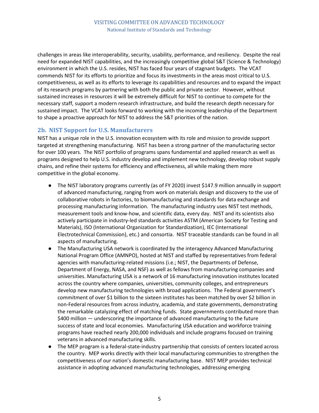challenges in areas like interoperability, security, usability, performance, and resiliency. Despite the real need for expanded NIST capabilities, and the increasingly competitive global S&T (Science & Technology) environment in which the U.S. resides, NIST has faced four years of stagnant budgets. The VCAT commends NIST for its efforts to prioritize and focus its investments in the areas most critical to U.S. competitiveness, as well as its efforts to leverage its capabilities and resources and to expand the impact of its research programs by partnering with both the public and private sector. However, without sustained increases in resources it will be extremely difficult for NIST to continue to compete for the necessary staff, support a modern research infrastructure, and build the research depth necessary for sustained impact. The VCAT looks forward to working with the incoming leadership of the Department to shape a proactive approach for NIST to address the S&T priorities of the nation.

#### **2b. NIST Support for U.S. Manufacturers**

NIST has a unique role in the U.S. innovation ecosystem with its role and mission to provide support targeted at strengthening manufacturing. NIST has been a strong partner of the manufacturing sector for over 100 years. The NIST portfolio of programs spans fundamental and applied research as well as programs designed to help U.S. industry develop and implement new technology, develop robust supply chains, and refine their systems for efficiency and effectiveness, all while making them more competitive in the global economy.

- The NIST laboratory programs currently (as of FY 2020) invest \$147.9 million annually in support of advanced manufacturing, ranging from work on materials design and discovery to the use of collaborative robots in factories, to biomanufacturing and standards for data exchange and processing manufacturing information. The manufacturing industry uses NIST test methods, measurement tools and know-how, and scientific data, every day. NIST and its scientists also actively participate in industry-led standards activities ASTM (American Society for Testing and Materials), ISO (International Organization for Standardization), IEC (International Electrotechnical Commission), etc.) and consortia. NIST traceable standards can be found in all aspects of manufacturing.
- The Manufacturing USA network is coordinated by the interagency Advanced Manufacturing National Program Office (AMNPO), hosted at NIST and staffed by representatives from federal agencies with manufacturing-related missions (i.e.; NIST, the Departments of Defense, Department of Energy, NASA, and NSF) as well as fellows from manufacturing companies and universities. Manufacturing USA is a network of 16 manufacturing innovation institutes located across the country where companies, universities, community colleges, and entrepreneurs develop new manufacturing technologies with broad applications. The Federal government's commitment of over \$1 billion to the sixteen institutes has been matched by over \$2 billion in non-Federal resources from across industry, academia, and state governments, demonstrating the remarkable catalyzing effect of matching funds. State governments contributed more than \$400 million — underscoring the importance of advanced manufacturing to the future success of state and local economies. Manufacturing USA education and workforce training programs have reached nearly 200,000 individuals and include programs focused on training veterans in advanced manufacturing skills.
- The MEP program is a federal-state-industry partnership that consists of centers located across the country. MEP works directly with their local manufacturing communities to strengthen the competitiveness of our nation's domestic manufacturing base. NIST MEP provides technical assistance in adopting advanced manufacturing technologies, addressing emerging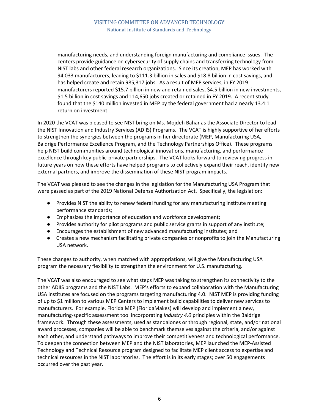manufacturing needs, and understanding foreign manufacturing and compliance issues. The centers provide guidance on cybersecurity of supply chains and transferring technology from NIST labs and other federal research organizations. Since its creation, MEP has worked with 94,033 manufacturers, leading to \$111.3 billion in sales and \$18.8 billion in cost savings, and has helped create and retain 985,317 jobs. As a result of MEP services, in FY 2019 manufacturers reported \$15.7 billion in new and retained sales, \$4.5 billion in new investments, \$1.5 billion in cost savings and 114,650 jobs created or retained in FY 2019. A recent study found that the \$140 million invested in MEP by the federal government had a nearly 13.4:1 return on investment.

In 2020 the VCAT was pleased to see NIST bring on Ms. Mojdeh Bahar as the Associate Director to lead the NIST Innovation and Industry Services (ADIIS) Programs. The VCAT is highly supportive of her efforts to strengthen the synergies between the programs in her directorate (MEP, Manufacturing USA, Baldrige Performance Excellence Program, and the Technology Partnerships Office). These programs help NIST build communities around technological innovations, manufacturing, and performance excellence through key public-private partnerships. The VCAT looks forward to reviewing progress in future years on how these efforts have helped programs to collectively expand their reach, identify new external partners, and improve the dissemination of these NIST program impacts.

The VCAT was pleased to see the changes in the legislation for the Manufacturing USA Program that were passed as part of the 2019 National Defense Authorization Act. Specifically, the legislation:

- Provides NIST the ability to renew federal funding for any manufacturing institute meeting performance standards;
- Emphasizes the importance of education and workforce development;
- Provides authority for pilot programs and public service grants in support of any institute;
- Encourages the establishment of new advanced manufacturing institutes; and
- Creates a new mechanism facilitating private companies or nonprofits to join the Manufacturing USA network.

These changes to authority, when matched with appropriations, will give the Manufacturing USA program the necessary flexibility to strengthen the environment for U.S. manufacturing.

The VCAT was also encouraged to see what steps MEP was taking to strengthen its connectivity to the other ADIIS programs and the NIST Labs. MEP's efforts to expand collaboration with the Manufacturing USA institutes are focused on the programs targeting manufacturing 4.0. NIST MEP is providing funding of up to \$1 million to various MEP Centers to implement build capabilities to deliver new services to manufacturers. For example, Florida MEP (FloridaMakes) will develop and implement a new, manufacturing-specific assessment tool incorporating *Industry 4.0* principles within the Baldrige framework. Through these assessments, used as standalones or through regional, state, and/or national award processes, companies will be able to benchmark themselves against the criteria, and/or against each other, and understand pathways to improve their competitiveness and technological performance. To deepen the connection between MEP and the NIST laboratories, MEP launched the MEP-Assisted Technology and Technical Resource program designed to facilitate MEP client access to expertise and technical resources in the NIST laboratories. The effort is in its early stages; over 50 engagements occurred over the past year.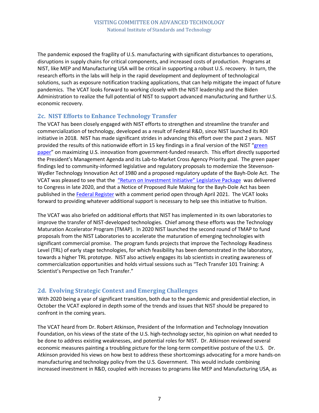The pandemic exposed the fragility of U.S. manufacturing with significant disturbances to operations, disruptions in supply chains for critical components, and increased costs of production. Programs at NIST, like MEP and Manufacturing USA will be critical in supporting a robust U.S. recovery. In turn, the research efforts in the labs will help in the rapid development and deployment of technological solutions, such as exposure notification tracking applications, that can help mitigate the impact of future pandemics. The VCAT looks forward to working closely with the NIST leadership and the Biden Administration to realize the full potential of NIST to support advanced manufacturing and further U.S. economic recovery.

## **2c. NIST Efforts to Enhance Technology Transfer**

The VCAT has been closely engaged with NIST efforts to strengthen and streamline the transfer and commercialization of technology, developed as a result of Federal R&D, since NIST launched its ROI initiative in 2018. NIST has made significant strides in advancing this effort over the past 2 years. NIST provided the results of this nationwide effort in 15 key findings in a final version of the NIST "green [paper"](https://doi.org/10.6028/NIST.SP.1234) on maximizing U.S. innovation from government-funded research. This effort directly supported the President's Management Agenda and its Lab-to-Market Cross Agency Priority goal. The green paper findings led to community-informed legislative and regulatory proposals to modernize the Stevenson-Wydler Technology Innovation Act of 1980 and a proposed regulatory update of the Bayh-Dole Act. The VCAT was pleased to see that the ["Return on Investment Initiative" Legislative Package](https://www.nist.gov/system/files/documents/2020/12/10/NIST%20ROI%20Leg%20Package%20Final%2011-20-20.pdf) was delivered to Congress in late 2020, and that a Notice of Proposed Rule Making for the Bayh-Dole Act has been published in the [Federal Register](https://www.federalregister.gov/documents/2021/01/04/2020-27581/rights-to-federally-funded-inventions-and-licensing-of-government-owned-inventions) with a comment period open through April 2021. The VCAT looks forward to providing whatever additional support is necessary to help see this initiative to fruition.

The VCAT was also briefed on additional efforts that NIST has implemented in its own laboratories to improve the transfer of NIST-developed technologies. Chief among these efforts was the Technology Maturation Accelerator Program (TMAP). In 2020 NIST launched the second round of TMAP to fund proposals from the NIST Laboratories to accelerate the maturation of emerging technologies with significant commercial promise. The program funds projects that improve the Technology Readiness Level (TRL) of early stage technologies, for which feasibility has been demonstrated in the laboratory, towards a higher TRL prototype. NIST also actively engages its lab scientists in creating awareness of commercialization opportunities and holds virtual sessions such as "Tech Transfer 101 Training: A Scientist's Perspective on Tech Transfer."

## **2d. Evolving Strategic Context and Emerging Challenges**

With 2020 being a year of significant transition, both due to the pandemic and presidential election, in October the VCAT explored in depth some of the trends and issues that NIST should be prepared to confront in the coming years.

The VCAT heard from Dr. Robert Atkinson, President of the Information and Technology Innovation Foundation, on his views of the state of the U.S. high-technology sector, his opinion on what needed to be done to address existing weaknesses, and potential roles for NIST. Dr. Atkinson reviewed several economic measures painting a troubling picture for the long-term competitive posture of the U.S. Dr. Atkinson provided his views on how best to address these shortcomings advocating for a more hands-on manufacturing and technology policy from the U.S. Government. This would include combining increased investment in R&D, coupled with increases to programs like MEP and Manufacturing USA, as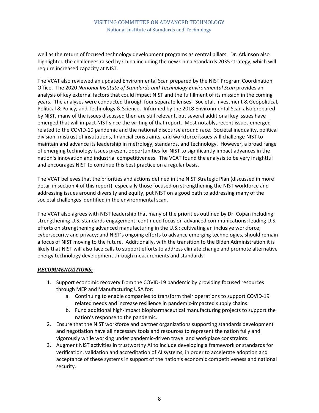#### VISITING COMMITTEE ON ADVANCED TECHNOLOGY National Institute of Standards and Technology

well as the return of focused technology development programs as central pillars. Dr. Atkinson also highlighted the challenges raised by China including the new China Standards 2035 strategy, which will require increased capacity at NIST.

The VCAT also reviewed an updated Environmental Scan prepared by the NIST Program Coordination Office. The 2020 *National Institute of Standards and Technology Environmental Scan* provides an analysis of key external factors that could impact NIST and the fulfillment of its mission in the coming years. The analyses were conducted through four separate lenses: Societal, Investment & Geopolitical, Political & Policy, and Technology & Science. Informed by the 2018 Environmental Scan also prepared by NIST, many of the issues discussed then are still relevant, but several additional key issues have emerged that will impact NIST since the writing of that report. Most notably, recent issues emerged related to the COVID-19 pandemic and the national discourse around race. Societal inequality, political division, mistrust of institutions, financial constraints, and workforce issues will challenge NIST to maintain and advance its leadership in metrology, standards, and technology. However, a broad range of emerging technology issues present opportunities for NIST to significantly impact advances in the nation's innovation and industrial competitiveness. The VCAT found the analysis to be very insightful and encourages NIST to continue this best practice on a regular basis.

The VCAT believes that the priorities and actions defined in the NIST Strategic Plan (discussed in more detail in section 4 of this report), especially those focused on strengthening the NIST workforce and addressing issues around diversity and equity, put NIST on a good path to addressing many of the societal challenges identified in the environmental scan.

The VCAT also agrees with NIST leadership that many of the priorities outlined by Dr. Copan including: strengthening U.S. standards engagement; continued focus on advanced communications; leading U.S. efforts on strengthening advanced manufacturing in the U.S.; cultivating an inclusive workforce; cybersecurity and privacy; and NIST's ongoing efforts to advance emerging technologies, should remain a focus of NIST moving to the future. Additionally, with the transition to the Biden Administration it is likely that NIST will also face calls to support efforts to address climate change and promote alternative energy technology development through measurements and standards.

#### *RECOMMENDATIONS:*

- 1. Support economic recovery from the COVID-19 pandemic by providing focused resources through MEP and Manufacturing USA for:
	- a. Continuing to enable companies to transform their operations to support COVID-19 related needs and increase resilience in pandemic-impacted supply chains.
	- b. Fund additional high-impact biopharmaceutical manufacturing projects to support the nation's response to the pandemic.
- 2. Ensure that the NIST workforce and partner organizations supporting standards development and negotiation have all necessary tools and resources to represent the nation fully and vigorously while working under pandemic-driven travel and workplace constraints.
- 3. Augment NIST activities in trustworthy AI to include developing a framework or standards for verification, validation and accreditation of AI systems, in order to accelerate adoption and acceptance of these systems in support of the nation's economic competitiveness and national security.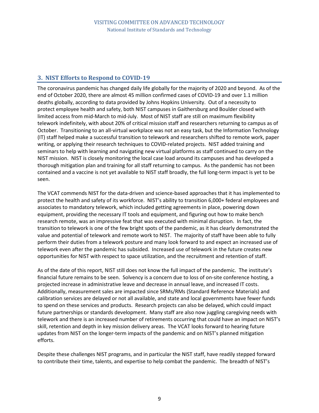## **3. NIST Efforts to Respond to COVID-19**

The coronavirus pandemic has changed daily life globally for the majority of 2020 and beyond. As of the end of October 2020, there are almost 45 million confirmed cases of COVID-19 and over 1.1 million deaths globally, according to data provided by Johns Hopkins University. Out of a necessity to protect employee health and safety, both NIST campuses in Gaithersburg and Boulder closed with limited access from mid-March to mid-July. Most of NIST staff are still on maximum flexibility telework indefinitely, with about 20% of critical mission staff and researchers returning to campus as of October. Transitioning to an all-virtual workplace was not an easy task, but the Information Technology (IT) staff helped make a successful transition to telework and researchers shifted to remote work, paper writing, or applying their research techniques to COVID-related projects. NIST added training and seminars to help with learning and navigating new virtual platforms as staff continued to carry on the NIST mission. NIST is closely monitoring the local case load around its campuses and has developed a thorough mitigation plan and training for all staff returning to campus. As the pandemic has not been contained and a vaccine is not yet available to NIST staff broadly, the full long-term impact is yet to be seen.

The VCAT commends NIST for the data-driven and science-based approaches that it has implemented to protect the health and safety of its workforce. NIST's ability to transition 6,000+ federal employees and associates to mandatory telework, which included getting agreements in place, powering down equipment, providing the necessary IT tools and equipment, and figuring out how to make bench research remote, was an impressive feat that was executed with minimal disruption. In fact, the transition to telework is one of the few bright spots of the pandemic, as it has clearly demonstrated the value and potential of telework and remote work to NIST. The majority of staff have been able to fully perform their duties from a telework posture and many look forward to and expect an increased use of telework even after the pandemic has subsided. Increased use of telework in the future creates new opportunities for NIST with respect to space utilization, and the recruitment and retention of staff.

As of the date of this report, NIST still does not know the full impact of the pandemic. The institute's financial future remains to be seen. Solvency is a concern due to loss of on-site conference hosting, a projected increase in administrative leave and decrease in annual leave, and increased IT costs. Additionally, measurement sales are impacted since SRMs/RMs (Standard Reference Materials) and calibration services are delayed or not all available, and state and local governments have fewer funds to spend on these services and products. Research projects can also be delayed, which could impact future partnerships or standards development. Many staff are also now juggling caregiving needs with telework and there is an increased number of retirements occurring that could have an impact on NIST's skill, retention and depth in key mission delivery areas. The VCAT looks forward to hearing future updates from NIST on the longer-term impacts of the pandemic and on NIST's planned mitigation efforts.

Despite these challenges NIST programs, and in particular the NIST staff, have readily stepped forward to contribute their time, talents, and expertise to help combat the pandemic. The breadth of NIST's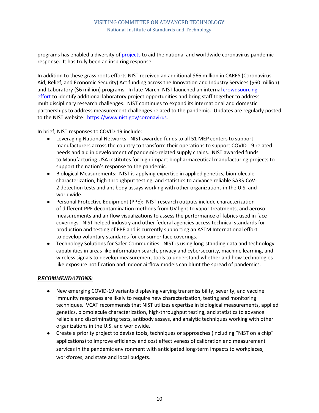programs has enabled a diversity of [projects](https://www.nist.gov/coronavirus) to aid the national and worldwide coronavirus pandemic response. It has truly been an inspiring response.

In addition to these grass roots efforts NIST received an additional \$66 million in CARES (Coronavirus Aid, Relief, and Economic Security) Act funding across the Innovation and Industry Services (\$60 million) and Laboratory (\$6 million) programs. In late March, NIST launched an internal [crowdsourcing](https://www.nist.gov/blogs/taking-measure/how-can-nist-help-collaborating-distance-defeat-covid-19)  [effort](https://www.nist.gov/blogs/taking-measure/how-can-nist-help-collaborating-distance-defeat-covid-19) to identify additional laboratory project opportunities and bring staff together to address multidisciplinary research challenges. NIST continues to expand its international and domestic partnerships to address measurement challenges related to the pandemic. Updates are regularly posted to the NIST website: [https://www.nist.gov/coronavirus.](https://www.nist.gov/coronavirus)

In brief, NIST responses to COVID-19 include:

- Leveraging National Networks: NIST awarded funds to all 51 MEP centers to support manufacturers across the country to transform their operations to support COVID-19 related needs and aid in development of pandemic-related supply chains. NIST awarded funds to Manufacturing USA institutes for high-impact biopharmaceutical manufacturing projects to support the nation's response to the pandemic.
- Biological Measurements: NIST is applying expertise in applied genetics, biomolecule characterization, high-throughput testing, and statistics to advance reliable SARS-CoV-2 detection tests and antibody assays working with other organizations in the U.S. and worldwide.
- Personal Protective Equipment (PPE): NIST research outputs include characterization of different PPE decontamination methods from UV light to vapor treatments, and aerosol measurements and air flow visualizations to assess the performance of fabrics used in face coverings. NIST helped industry and other federal agencies access technical standards for production and testing of PPE and is currently supporting an ASTM International effort to develop voluntary standards for consumer face coverings.
- Technology Solutions for Safer Communities: NIST is using long-standing data and technology capabilities in areas like information search, privacy and cybersecurity, machine learning, and wireless signals to develop measurement tools to understand whether and how technologies like exposure notification and indoor airflow models can blunt the spread of pandemics.

#### *RECOMMENDATIONS:*

- New emerging COVID-19 variants displaying varying transmissibility, severity, and vaccine immunity responses are likely to require new characterization, testing and monitoring techniques. VCAT recommends that NIST utilizes expertise in biological measurements, applied genetics, biomolecule characterization, high-throughput testing, and statistics to advance reliable and discriminating tests, antibody assays, and analytic techniques working with other organizations in the U.S. and worldwide.
- Create a priority project to devise tools, techniques or approaches (including "NIST on a chip" applications) to improve efficiency and cost effectiveness of calibration and measurement services in the pandemic environment with anticipated long-term impacts to workplaces, workforces, and state and local budgets.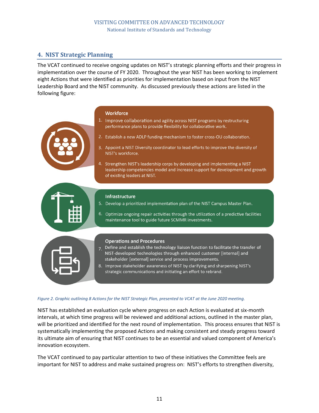## **4. NIST Strategic Planning**

The VCAT continued to receive ongoing updates on NIST's strategic planning efforts and their progress in implementation over the course of FY 2020. Throughout the year NIST has been working to implement eight Actions that were identified as priorities for implementation based on input from the NIST Leadership Board and the NIST community. As discussed previously these actions are listed in the following figure:

#### **Workforce**

- 1. Improve collaboration and agility across NIST programs by restructuring performance plans to provide flexibility for collaborative work.
- 2. Establish a new ADLP funding mechanism to foster cross-OU collaboration.
- 3. Appoint a NIST Diversity coordinator to lead efforts to improve the diversity of NIST's workforce.
- 4. Strengthen NIST's leadership corps by developing and implementing a NIST leadership competencies model and increase support for development and growth of existing leaders at NIST.



#### **Infrastructure**

- 5. Develop a prioritized implementation plan of the NIST Campus Master Plan.
- 6. Optimize ongoing repair activities through the utilization of a predictive facilities maintenance tool to guide future SCMMR investments.



#### **Operations and Procedures**

- Define and establish the technology liaison function to facilitate the transfer of  $7<sub>1</sub>$ NIST-developed technologies through enhanced customer [internal] and stakeholder [external] service and process improvements.
- 8. Improve stakeholder awareness of NIST by clarifying and sharpening NIST's strategic communications and initiating an effort to rebrand.

#### *Figure 2. Graphic outlining 8 Actions for the NIST Strategic Plan, presented to VCAT at the June 2020 meeting.*

NIST has established an evaluation cycle where progress on each Action is evaluated at six-month intervals, at which time progress will be reviewed and additional actions, outlined in the master plan, will be prioritized and identified for the next round of implementation. This process ensures that NIST is systematically implementing the proposed Actions and making consistent and steady progress toward its ultimate aim of ensuring that NIST continues to be an essential and valued component of America's innovation ecosystem.

The VCAT continued to pay particular attention to two of these initiatives the Committee feels are important for NIST to address and make sustained progress on: NIST's efforts to strengthen diversity,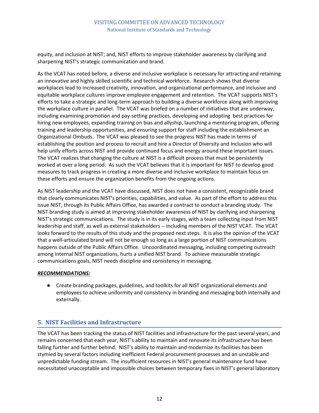equity, and inclusion at NIST; and, NIST efforts to improve stakeholder awareness by clarifying and sharpening NIST's strategic communication and brand.

As the VCAT has noted before, a diverse and inclusive workplace is necessary for attracting and retaining an innovative and highly skilled scientific and technical workforce. Research shows that diverse workplaces lead to increased creativity, innovation, and organizational performance, and inclusive and equitable workplace cultures improve employee engagement and retention. The VCAT supports NIST's efforts to take a strategic and long-term approach to building a diverse workforce along with improving the workplace culture in parallel. The VCAT was briefed on a number of initiatives that are underway, including examining promotion and pay-setting practices, developing and adopting best practices for hiring new employees, expanding training on bias and allyship, launching a mentoring program, offering training and leadership opportunities, and ensuring support for staff including the establishment an Organizational Ombuds. The VCAT was pleased to see the progress NIST has made in terms of establishing the position and process to recruit and hire a Director of Diversity and Inclusion who will help unify efforts across NIST and provide continued focus and energy around these important issues. The VCAT realizes that changing the culture at NIST is a difficult process that must be persistently worked at over a long period. As such the VCAT believes that it is important for NIST to develop good measures to track progress in creating a more diverse and inclusive workplace to maintain focus on these efforts and ensure the organization benefits from the ongoing actions.

As NIST leadership and the VCAT have discussed, NIST does not have a consistent, recognizable brand that clearly communicates NIST's priorities, capabilities, and value. As part of the effort to address this issue NIST, through its Public Affairs Office, has awarded a contract to conduct a branding study. The NIST branding study is aimed at improving stakeholder awareness of NIST by clarifying and sharpening NIST's strategic communications. The study is in its early stages, with a team collecting input from NIST leadership and staff, as well as external stakeholders -- including members of the NIST VCAT. The VCAT looks forward to the results of this study and the proposed next steps. It is also the opinion of the VCAT that a well-articulated brand will not be enough so long as a large portion of NIST communications happens outside of the Public Affairs Office. Uncoordinated messaging, including competing outreach among internal NIST organizations, hurts a unified NIST brand. To achieve measurable strategic communications goals, NIST needs discipline and consistency in messaging.

#### *RECOMMENDATIONS:*

● Create branding packages, guidelines, and toolkits for all NIST organizational elements and employees to achieve uniformity and consistency in branding and messaging both internally and externally.

## **5. NIST Facilities and Infrastructure**

The VCAT has been tracking the status of NIST facilities and infrastructure for the past several years, and remains concerned that each year, NIST's ability to maintain and renovate its infrastructure has been falling further and further behind. NIST's ability to maintain and modernize its facilities has been stymied by several factors including inefficient Federal procurement processes and an unstable and unpredictable funding stream. The insufficient resources in NIST's general maintenance fund have necessitated unacceptable and impossible choices between temporary fixes in NIST's general laboratory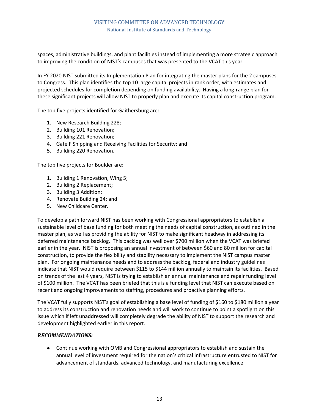spaces, administrative buildings, and plant facilities instead of implementing a more strategic approach to improving the condition of NIST's campuses that was presented to the VCAT this year.

In FY 2020 NIST submitted its Implementation Plan for integrating the master plans for the 2 campuses to Congress. This plan identifies the top 10 large capital projects in rank order, with estimates and projected schedules for completion depending on funding availability. Having a long-range plan for these significant projects will allow NIST to properly plan and execute its capital construction program.

The top five projects identified for Gaithersburg are:

- 1. New Research Building 228;
- 2. Building 101 Renovation;
- 3. Building 221 Renovation;
- 4. Gate F Shipping and Receiving Facilities for Security; and
- 5. Building 220 Renovation.

The top five projects for Boulder are:

- 1. Building 1 Renovation, Wing 5;
- 2. Building 2 Replacement;
- 3. Building 3 Addition;
- 4. Renovate Building 24; and
- 5. New Childcare Center.

To develop a path forward NIST has been working with Congressional appropriators to establish a sustainable level of base funding for both meeting the needs of capital construction, as outlined in the master plan, as well as providing the ability for NIST to make significant headway in addressing its deferred maintenance backlog. This backlog was well over \$700 million when the VCAT was briefed earlier in the year. NIST is proposing an annual investment of between \$60 and 80 million for capital construction, to provide the flexibility and stability necessary to implement the NIST campus master plan. For ongoing maintenance needs and to address the backlog, federal and industry guidelines indicate that NIST would require between \$115 to \$144 million annually to maintain its facilities. Based on trends of the last 4 years, NIST is trying to establish an annual maintenance and repair funding level of \$100 million. The VCAT has been briefed that this is a funding level that NIST can execute based on recent and ongoing improvements to staffing, procedures and proactive planning efforts.

The VCAT fully supports NIST's goal of establishing a base level of funding of \$160 to \$180 million a year to address its construction and renovation needs and will work to continue to point a spotlight on this issue which if left unaddressed will completely degrade the ability of NIST to support the research and development highlighted earlier in this report.

#### *RECOMMENDATIONS:*

● Continue working with OMB and Congressional appropriators to establish and sustain the annual level of investment required for the nation's critical infrastructure entrusted to NIST for advancement of standards, advanced technology, and manufacturing excellence.